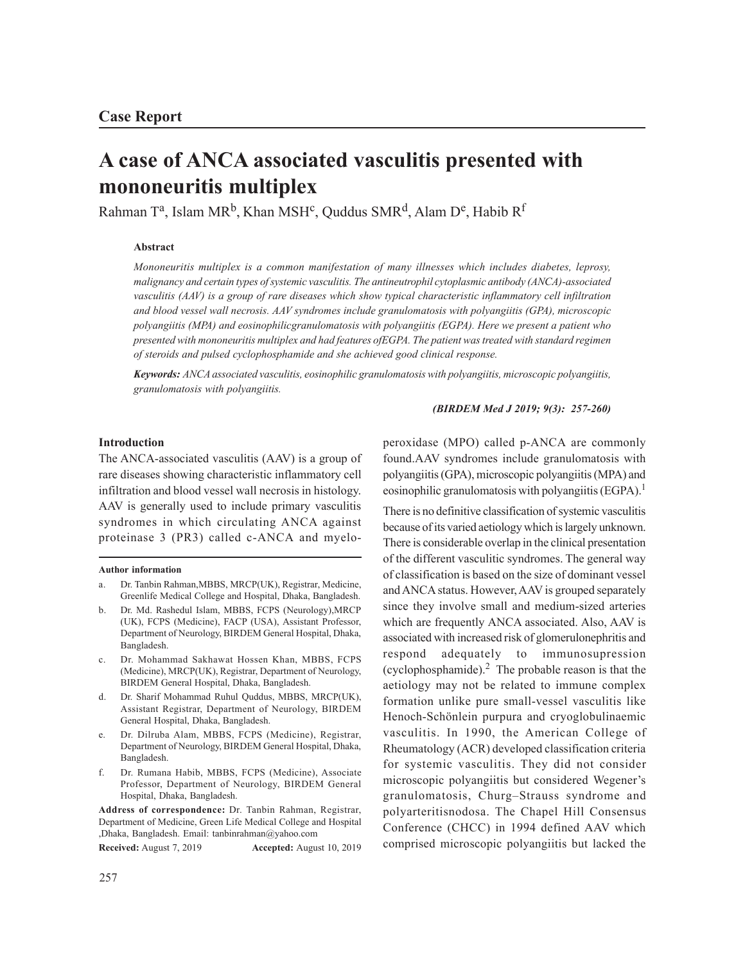# **A case of ANCA associated vasculitis presented with mononeuritis multiplex**

Rahman T<sup>a</sup>, Islam MR<sup>b</sup>, Khan MSH<sup>c</sup>, Quddus SMR<sup>d</sup>, Alam D<sup>e</sup>, Habib R<sup>f</sup>

# **Abstract**

*Mononeuritis multiplex is a common manifestation of many illnesses which includes diabetes, leprosy, malignancy and certain types of systemic vasculitis. The antineutrophil cytoplasmic antibody (ANCA)-associated vasculitis (AAV) is a group of rare diseases which show typical characteristic inflammatory cell infiltration and blood vessel wall necrosis. AAV syndromes include granulomatosis with polyangiitis (GPA), microscopic polyangiitis (MPA) and eosinophilicgranulomatosis with polyangiitis (EGPA). Here we present a patient who presented with mononeuritis multiplex and had features ofEGPA. The patient was treated with standard regimen of steroids and pulsed cyclophosphamide and she achieved good clinical response.*

*Keywords: ANCA associated vasculitis, eosinophilic granulomatosis with polyangiitis, microscopic polyangiitis, granulomatosis with polyangiitis.*

*(BIRDEM Med J 2019; 9(3): 257-260)*

# **Introduction**

The ANCA-associated vasculitis (AAV) is a group of rare diseases showing characteristic inflammatory cell infiltration and blood vessel wall necrosis in histology. AAV is generally used to include primary vasculitis syndromes in which circulating ANCA against proteinase 3 (PR3) called c-ANCA and myelo-

#### **Author information**

- a. Dr. Tanbin Rahman,MBBS, MRCP(UK), Registrar, Medicine, Greenlife Medical College and Hospital, Dhaka, Bangladesh.
- b. Dr. Md. Rashedul Islam, MBBS, FCPS (Neurology),MRCP (UK), FCPS (Medicine), FACP (USA), Assistant Professor, Department of Neurology, BIRDEM General Hospital, Dhaka, Bangladesh.
- c. Dr. Mohammad Sakhawat Hossen Khan, MBBS, FCPS (Medicine), MRCP(UK), Registrar, Department of Neurology, BIRDEM General Hospital, Dhaka, Bangladesh.
- d. Dr. Sharif Mohammad Ruhul Quddus, MBBS, MRCP(UK), Assistant Registrar, Department of Neurology, BIRDEM General Hospital, Dhaka, Bangladesh.
- Dr. Dilruba Alam, MBBS, FCPS (Medicine), Registrar, Department of Neurology, BIRDEM General Hospital, Dhaka, Bangladesh.
- f. Dr. Rumana Habib, MBBS, FCPS (Medicine), Associate Professor, Department of Neurology, BIRDEM General Hospital, Dhaka, Bangladesh.

**Address of correspondence:** Dr. Tanbin Rahman, Registrar, Department of Medicine, Green Life Medical College and Hospital ,Dhaka, Bangladesh. Email: tanbinrahman@yahoo.com

**Received:** August 7, 2019 **Accepted:** August 10, 2019

peroxidase (MPO) called p-ANCA are commonly found.AAV syndromes include granulomatosis with polyangiitis (GPA), microscopic polyangiitis (MPA) and eosinophilic granulomatosis with polyangiitis (EGPA).<sup>1</sup>

There is no definitive classification of systemic vasculitis because of its varied aetiology which is largely unknown. There is considerable overlap in the clinical presentation of the different vasculitic syndromes. The general way of classification is based on the size of dominant vessel and ANCA status. However, AAV is grouped separately since they involve small and medium-sized arteries which are frequently ANCA associated. Also, AAV is associated with increased risk of glomerulonephritis and respond adequately to immunosupression (cyclophosphamide). $2$  The probable reason is that the aetiology may not be related to immune complex formation unlike pure small-vessel vasculitis like Henoch-Schönlein purpura and cryoglobulinaemic vasculitis. In 1990, the American College of Rheumatology (ACR) developed classification criteria for systemic vasculitis. They did not consider microscopic polyangiitis but considered Wegener's granulomatosis, Churg–Strauss syndrome and polyarteritisnodosa. The Chapel Hill Consensus Conference (CHCC) in 1994 defined AAV which comprised microscopic polyangiitis but lacked the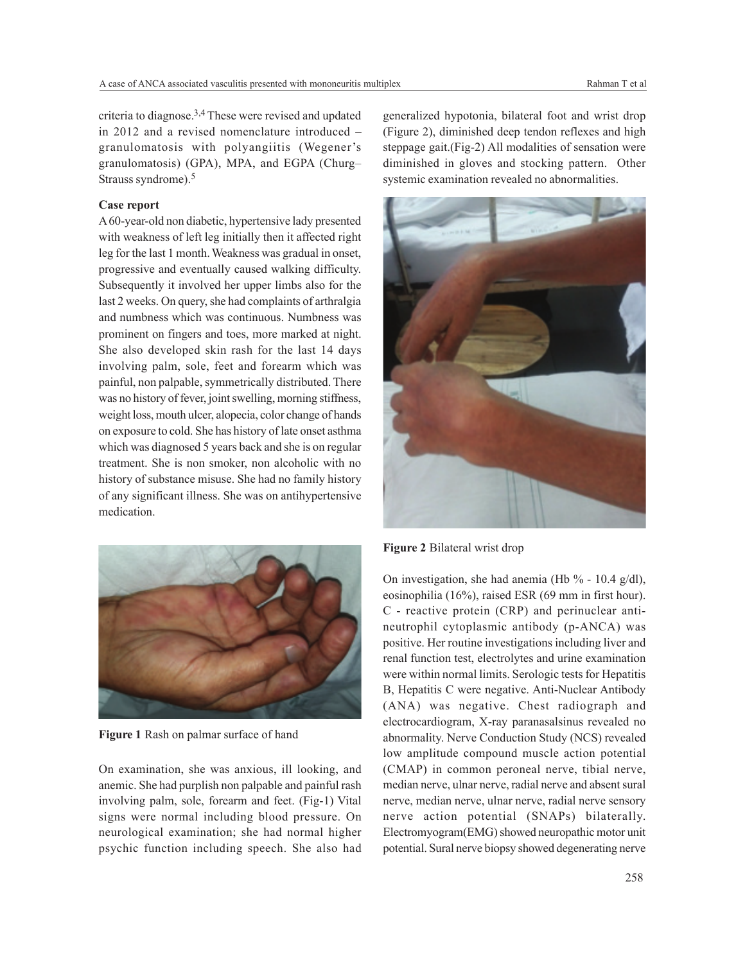criteria to diagnose.3,4 These were revised and updated in 2012 and a revised nomenclature introduced – granulomatosis with polyangiitis (Wegener's granulomatosis) (GPA), MPA, and EGPA (Churg– Strauss syndrome).<sup>5</sup>

#### **Case report**

A 60-year-old non diabetic, hypertensive lady presented with weakness of left leg initially then it affected right leg for the last 1 month. Weakness was gradual in onset, progressive and eventually caused walking difficulty. Subsequently it involved her upper limbs also for the last 2 weeks. On query, she had complaints of arthralgia and numbness which was continuous. Numbness was prominent on fingers and toes, more marked at night. She also developed skin rash for the last 14 days involving palm, sole, feet and forearm which was painful, non palpable, symmetrically distributed. There was no history of fever, joint swelling, morning stiffness, weight loss, mouth ulcer, alopecia, color change of hands on exposure to cold. She has history of late onset asthma which was diagnosed 5 years back and she is on regular treatment. She is non smoker, non alcoholic with no history of substance misuse. She had no family history of any significant illness. She was on antihypertensive medication.



**Figure 1** Rash on palmar surface of hand

On examination, she was anxious, ill looking, and anemic. She had purplish non palpable and painful rash involving palm, sole, forearm and feet. (Fig-1) Vital signs were normal including blood pressure. On neurological examination; she had normal higher psychic function including speech. She also had generalized hypotonia, bilateral foot and wrist drop (Figure 2), diminished deep tendon reflexes and high steppage gait.(Fig-2) All modalities of sensation were diminished in gloves and stocking pattern. Other systemic examination revealed no abnormalities.



**Figure 2** Bilateral wrist drop

On investigation, she had anemia (Hb  $% - 10.4$  g/dl), eosinophilia (16%), raised ESR (69 mm in first hour). C - reactive protein (CRP) and perinuclear antineutrophil cytoplasmic antibody (p-ANCA) was positive. Her routine investigations including liver and renal function test, electrolytes and urine examination were within normal limits. Serologic tests for Hepatitis B, Hepatitis C were negative. Anti-Nuclear Antibody (ANA) was negative. Chest radiograph and electrocardiogram, X-ray paranasalsinus revealed no abnormality. Nerve Conduction Study (NCS) revealed low amplitude compound muscle action potential (CMAP) in common peroneal nerve, tibial nerve, median nerve, ulnar nerve, radial nerve and absent sural nerve, median nerve, ulnar nerve, radial nerve sensory nerve action potential (SNAPs) bilaterally. Electromyogram(EMG) showed neuropathic motor unit potential. Sural nerve biopsy showed degenerating nerve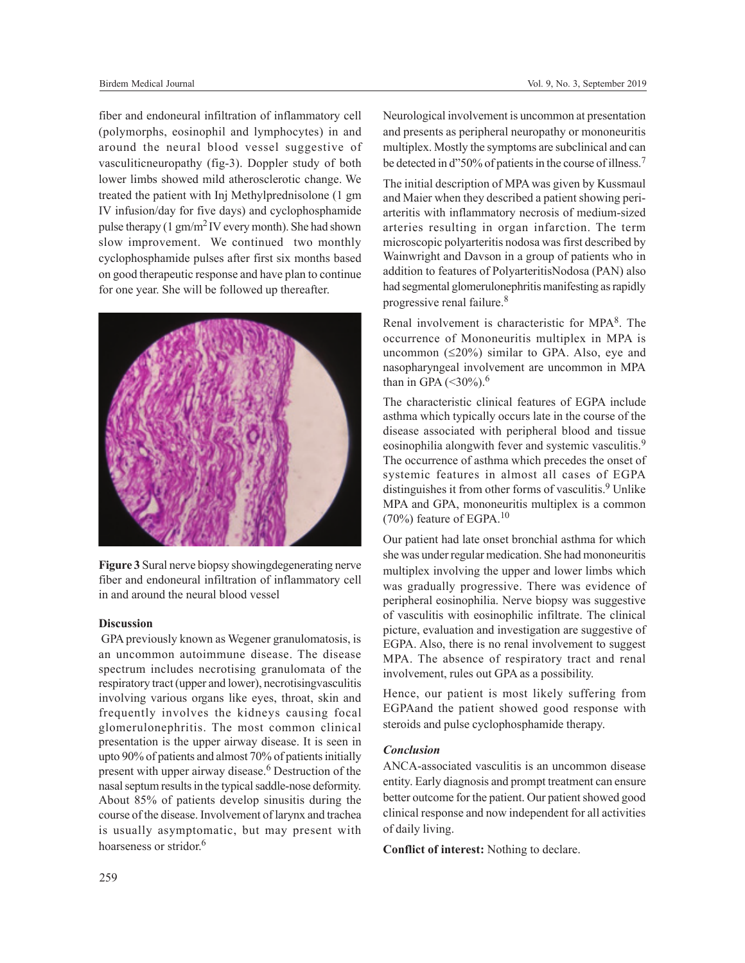fiber and endoneural infiltration of inflammatory cell (polymorphs, eosinophil and lymphocytes) in and around the neural blood vessel suggestive of vasculiticneuropathy (fig-3). Doppler study of both lower limbs showed mild atherosclerotic change. We treated the patient with Inj Methylprednisolone (1 gm IV infusion/day for five days) and cyclophosphamide pulse therapy  $(1 \text{ gm/m}^2 \text{ IV}$  every month). She had shown slow improvement. We continued two monthly cyclophosphamide pulses after first six months based on good therapeutic response and have plan to continue for one year. She will be followed up thereafter.



**Figure 3**Sural nerve biopsy showingdegenerating nerve fiber and endoneural infiltration of inflammatory cell in and around the neural blood vessel

### **Discussion**

 GPA previously known as Wegener granulomatosis, is an uncommon autoimmune disease. The disease spectrum includes necrotising granulomata of the respiratory tract (upper and lower), necrotisingvasculitis involving various organs like eyes, throat, skin and frequently involves the kidneys causing focal glomerulonephritis. The most common clinical presentation is the upper airway disease. It is seen in upto 90% of patients and almost 70% of patients initially present with upper airway disease.<sup>6</sup> Destruction of the nasal septum results in the typical saddle-nose deformity. About 85% of patients develop sinusitis during the course of the disease. Involvement of larynx and trachea is usually asymptomatic, but may present with hoarseness or stridor.<sup>6</sup>

Neurological involvement is uncommon at presentation and presents as peripheral neuropathy or mononeuritis multiplex. Mostly the symptoms are subclinical and can be detected in d"50% of patients in the course of illness.<sup>7</sup>

The initial description of MPA was given by Kussmaul and Maier when they described a patient showing periarteritis with inflammatory necrosis of medium-sized arteries resulting in organ infarction. The term microscopic polyarteritis nodosa was first described by Wainwright and Davson in a group of patients who in addition to features of PolyarteritisNodosa (PAN) also had segmental glomerulonephritis manifesting as rapidly progressive renal failure.<sup>8</sup>

Renal involvement is characteristic for MPA<sup>8</sup>. The occurrence of Mononeuritis multiplex in MPA is uncommon  $(\leq 20\%)$  similar to GPA. Also, eye and nasopharyngeal involvement are uncommon in MPA than in GPA  $(< 30\%$ ).<sup>6</sup>

The characteristic clinical features of EGPA include asthma which typically occurs late in the course of the disease associated with peripheral blood and tissue eosinophilia alongwith fever and systemic vasculitis.<sup>9</sup> The occurrence of asthma which precedes the onset of systemic features in almost all cases of EGPA distinguishes it from other forms of vasculitis.<sup>9</sup> Unlike MPA and GPA, mononeuritis multiplex is a common  $(70\%)$  feature of EGPA.<sup>10</sup>

Our patient had late onset bronchial asthma for which she was under regular medication. She had mononeuritis multiplex involving the upper and lower limbs which was gradually progressive. There was evidence of peripheral eosinophilia. Nerve biopsy was suggestive of vasculitis with eosinophilic infiltrate. The clinical picture, evaluation and investigation are suggestive of EGPA. Also, there is no renal involvement to suggest MPA. The absence of respiratory tract and renal involvement, rules out GPA as a possibility.

Hence, our patient is most likely suffering from EGPAand the patient showed good response with steroids and pulse cyclophosphamide therapy.

## *Conclusion*

ANCA-associated vasculitis is an uncommon disease entity. Early diagnosis and prompt treatment can ensure better outcome for the patient. Our patient showed good clinical response and now independent for all activities of daily living.

**Conflict of interest:** Nothing to declare.